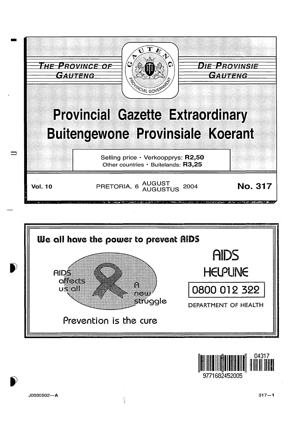



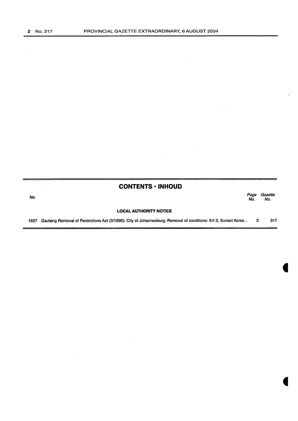$\bar{z}$ 

# **CONTENTS • INHOUD**

المستخدم المستخدم المستخدم المستخدم المستخدم المستخدم المستخدم المستخدم المستخدم المستخدم المستخدم المستخدم ال<br>المستخدم المستخدم المستخدم المستخدم المستخدم المستخدم المستخدم المستخدم المستخدم المستخدم المستخدم المستخدم ال Page Gazet<br>No. No.

#### **LOCAL AUTHORITY NOTICE**

1657 Gauteng Removal of Restrictions Act (3/1996): City of Johannesburg: Removal of conditions: Ert 3, Sunset Acres .. 3 317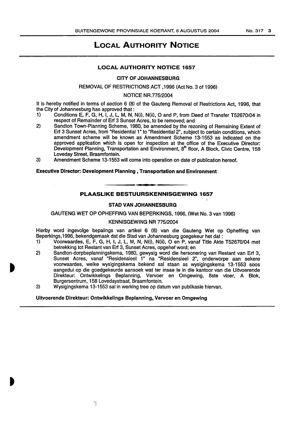# LOCAL AUTHORITY NOTICE

## LOCAL AUTHORITY NOTICE 1657

#### CITY OF JOHANNESBURG

#### REMOVAL OF RESTRICTIONS ACT ,1996 (Act No.3 of 1996)

#### NOTICE NR. 775/2004

It is hereby notified in terms of section 6 (8) of the Gauteng Removal of Restrictions Act, 1996, that the City of Johannesburg has approved that :

- 1) Conditions E, F, G, H, I, J, L, M, N, N(i), N(ii), 0 and P, from Deed of Transfer T52670/04 in respect of Remainder of Erf 3 Sunset Acres, to be removed; and
- 2) Sandton Town-Planning Scheme, 1980, be amended by the rezoning of Remaining Extent of Erf 3 Sunset Acres, from "Residential 1" to "Residential 2", subject to certain conditions, which amendment scheme will be known as Amendment Scheme 13-1553 as indicated on the approved application which is open for inspection at the office of the Executive Director: Development Planning, Transportation and Environment, 8<sup>th</sup> floor, A Block, Civic Centre, 158 Loveday Street, Braamfontein.
- 3) Amendment Scheme 13-1553 will come into operation on date of publication hereof.

#### Executive Director: Development Planning , Transportation and Environment

# PLAASLIKE BESTUURSKENNISGEWING 1657

#### STAD VAN JOHANNESBURG

GAUTENG WET OP OPHEFFING VAN BEPERKINGS, 1996, (Wet No.3 van 1996)

#### KENNISGEWING NR 775/2004

Hierby word ingevolge bepalings van artikel 6 (8) van die Gauteng Wet op Opheffing van Beperkings,1996, bekendgemaak dat die Stad van Johannesburg goegekeur het dat :

- 1) Voorwaardes, E, F, G, H, I, J, L, M, N, N(i), N(ii), 0 en P, vanaf Title Akte T52670/04 met betrekking tot Restant van Erf 3, Sunset Acres, opgehef word; en
- 2) Sandton-dorpbeplanningskema, 1980, gewysig word die hersonering van Restant van Erf 3, Sunset Acres, vanaf "Residensieel 1" na "Residensieel 2", onderworpe aan sekere voorwaardes, welke wysigingskema bekend sal staan as wysigingskema 13-1553 soos aangedui op die goedgekeurde aansoek wat ter insae le in die kantoor van die Uitvoerende Direkteur: Ontwikkelings Beplanning, Vervoer en Omgewing, 8ste vloer, A Blok, Burgersentrum, 158 Lovedaystraat, Braamfontein.
- 3) Wysigingskema 13-1553 sal in werking tree op datum van publikasie hiervan.

### Uitvoerende Direkteur: Ontwikkelings Beplanning, Vervoer en Omgewing

'I